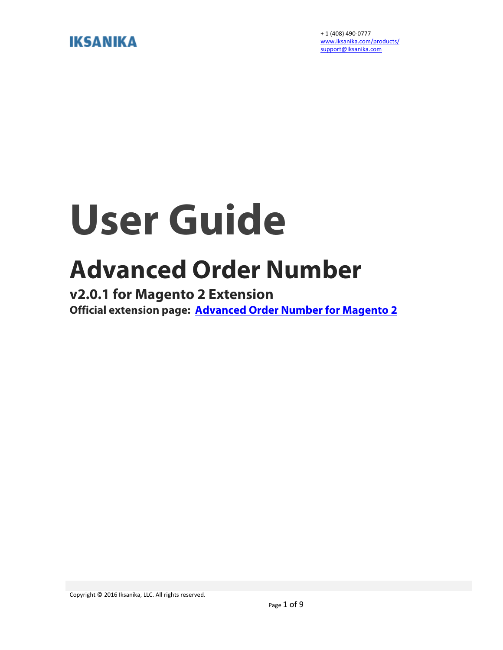#### **IKSANIKA**

+ 1 (408) 490-0777 www.iksanika.com/products/ support@iksanika.com

## **User Guide**

### **Advanced Order Number**

**v2.0.1 for Magento 2 Extension Official extension page: Advanced Order Number for Magento 2**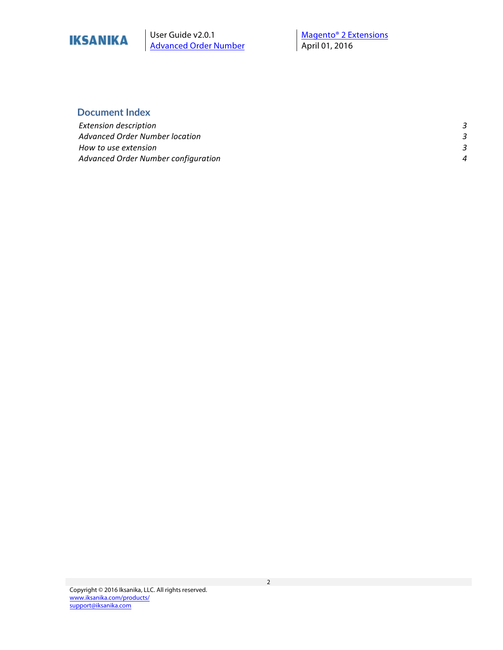

User Guide v2.0.1 <br>Advanced Order Number **Magento®** 2 Extensions<br>April 01, 2016 **Advanced Order Number** 

#### **Document Index**

| <b>Extension description</b>        |   |
|-------------------------------------|---|
| Advanced Order Number location      |   |
| How to use extension                |   |
| Advanced Order Number configuration | Λ |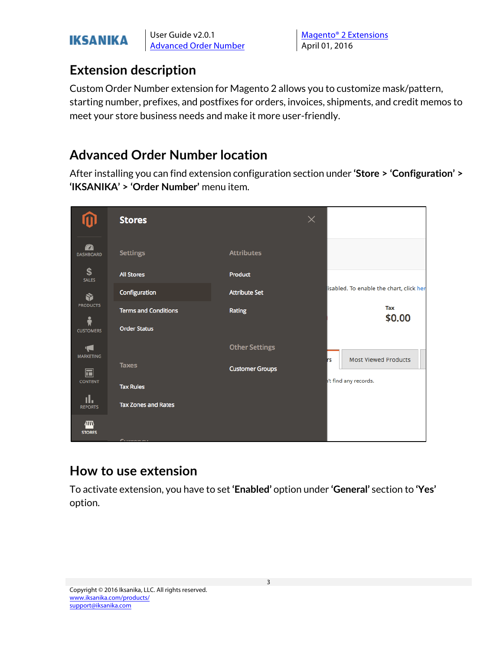### **IKSANIKA**

User Guide v2.0.1 Magento<sup>®</sup> 2 Extensions Advanced Order Number | April 01, 2016

#### **Extension description**

Custom Order Number extension for Magento 2 allows you to customize mask/pattern, starting number, prefixes, and postfixes for orders, invoices, shipments, and credit memos to meet your store business needs and make it more user-friendly.

#### **Advanced Order Number location**

After installing you can find extension configuration section under **'Store > 'Configuration' > 'IKSANIKA' > 'Order Number'** menu item.



#### **How to use extension**

To activate extension, you have to set **'Enabled'** option under **'General'** section to **'Yes'** option.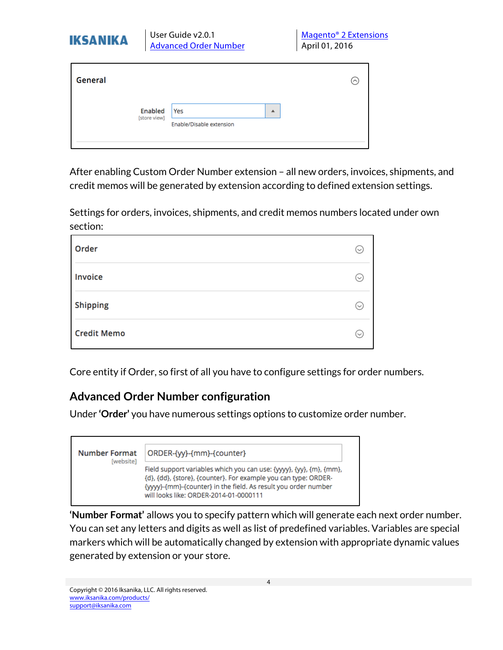| <b>IKSANIKA</b> |                         | User Guide v2.0.1<br><b>Advanced Order Number</b> | Magento <sup>®</sup> 2 Extensions<br>April 01, 2016 |                           |  |
|-----------------|-------------------------|---------------------------------------------------|-----------------------------------------------------|---------------------------|--|
| General         |                         |                                                   |                                                     | $(\widehat{\phantom{a}})$ |  |
|                 | Enabled<br>[store view] | Yes<br>Enable/Disable extension                   | ▲                                                   |                           |  |

After enabling Custom Order Number extension – all new orders, invoices, shipments, and credit memos will be generated by extension according to defined extension settings.

Settings for orders, invoices, shipments, and credit memos numbers located under own section:

| Order              |              |
|--------------------|--------------|
| Invoice            | $\checkmark$ |
| <b>Shipping</b>    |              |
| <b>Credit Memo</b> |              |

Core entity if Order, so first of all you have to configure settings for order numbers.

#### **Advanced Order Number configuration**

Under **'Order'** you have numerous settings options to customize order number.

| <b>Number Format</b><br>[website] | ORDER-{yy}-{mm}-{counter}                                                                                                                                                                                                                          |
|-----------------------------------|----------------------------------------------------------------------------------------------------------------------------------------------------------------------------------------------------------------------------------------------------|
|                                   | Field support variables which you can use: {yyyy}, {yy}, {m}, {mm},<br>{d}, {dd}, {store}, {counter}. For example you can type: ORDER-<br>{yyyy}-{mm}-{counter} in the field. As result you order number<br>will looks like: ORDER-2014-01-0000111 |

**'Number Format'** allows you to specify pattern which will generate each next order number. You can set any letters and digits as well as list of predefined variables. Variables are special markers which will be automatically changed by extension with appropriate dynamic values generated by extension or your store.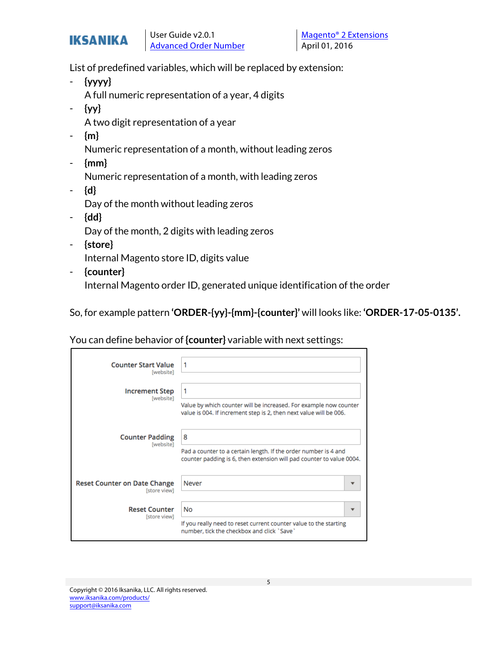

List of predefined variables, which will be replaced by extension:

- **{yyyy}** A full numeric representation of a year, 4 digits
- **{yy}**

A two digit representation of a year

- **{m}**

Numeric representation of a month, without leading zeros

- **{mm}**

Numeric representation of a month, with leading zeros

- **{d}** Day of the month without leading zeros
- **{dd}** Day of the month, 2 digits with leading zeros
- **{store}** Internal Magento store ID, digits value
- **{counter}**

Internal Magento order ID, generated unique identification of the order

So, for example pattern **'ORDER-{yy}-{mm}-{counter}'** will looks like: **'ORDER-17-05-0135'.**

You can define behavior of **{counter}** variable with next settings:

| <b>Counter Start Value</b><br>[website]             | 1                                                                                                                                            |
|-----------------------------------------------------|----------------------------------------------------------------------------------------------------------------------------------------------|
| <b>Increment Step</b><br>[website]                  | 1<br>Value by which counter will be increased. For example now counter<br>value is 004. If increment step is 2, then next value will be 006. |
| <b>Counter Padding</b><br>[website]                 | 8<br>Pad a counter to a certain length. If the order number is 4 and<br>counter padding is 6, then extension will pad counter to value 0004. |
| <b>Reset Counter on Date Change</b><br>[store view] | Never                                                                                                                                        |
| <b>Reset Counter</b><br>[store view]                | <b>No</b><br>If you really need to reset current counter value to the starting<br>number, tick the checkbox and click 'Save'                 |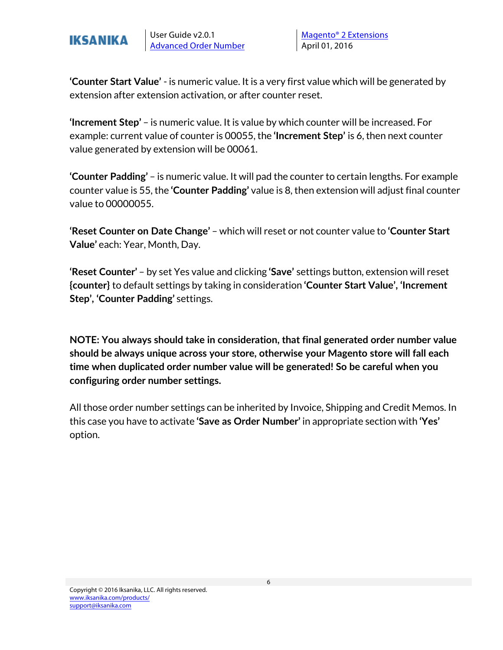

**'Counter Start Value'** - is numeric value. It is a very first value which will be generated by extension after extension activation, or after counter reset.

**'Increment Step'** – is numeric value. It is value by which counter will be increased. For example: current value of counter is 00055, the **'Increment Step'** is 6, then next counter value generated by extension will be 00061.

**'Counter Padding'** – is numeric value. It will pad the counter to certain lengths. For example counter value is 55, the **'Counter Padding'** value is 8, then extension will adjust final counter value to 00000055.

**'Reset Counter on Date Change'** – which will reset or not counter value to **'Counter Start Value'** each: Year, Month, Day.

**'Reset Counter'** – by set Yes value and clicking **'Save'** settings button, extension will reset **{counter}** to default settings by taking in consideration **'Counter Start Value', 'Increment Step', 'Counter Padding'** settings.

**NOTE: You always should take in consideration, that final generated order number value should be always unique across your store, otherwise your Magento store will fall each time when duplicated order number value will be generated! So be careful when you configuring order number settings.** 

All those order number settings can be inherited by Invoice, Shipping and Credit Memos. In this case you have to activate **'Save as Order Number'** in appropriate section with **'Yes'** option.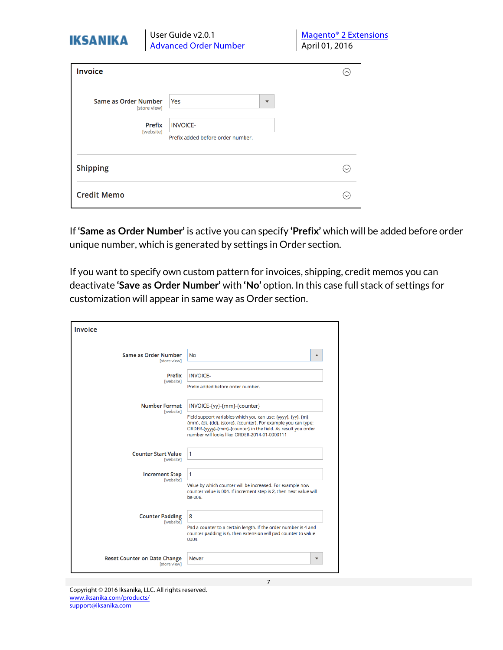| User Guide v2.0.1<br><b>IKSANIKA</b><br><b>Advanced Order Number</b> |                                     | <b>Magento<sup>®</sup> 2 Extensions</b><br>April 01, 2016   |                         |  |                           |
|----------------------------------------------------------------------|-------------------------------------|-------------------------------------------------------------|-------------------------|--|---------------------------|
| Invoice                                                              |                                     |                                                             |                         |  | $(\widehat{\phantom{a}})$ |
| Same as Order Number                                                 | [store view]<br>Prefix<br>[website] | Yes<br><b>INVOICE-</b><br>Prefix added before order number. | $\overline{\mathbf{v}}$ |  |                           |
| <b>Shipping</b>                                                      |                                     |                                                             |                         |  | $(\sim)$                  |
| <b>Credit Memo</b>                                                   |                                     |                                                             |                         |  |                           |

If **'Same as Order Number'** is active you can specify **'Prefix'** which will be added before order unique number, which is generated by settings in Order section.

If you want to specify own custom pattern for invoices, shipping, credit memos you can deactivate **'Save as Order Number'** with **'No'** option. In this case full stack of settings for customization will appear in same way as Order section.

7

| <b>Invoice</b>                           |                                                                                                                                                                                                                                 |
|------------------------------------------|---------------------------------------------------------------------------------------------------------------------------------------------------------------------------------------------------------------------------------|
| Same as Order Number                     | No                                                                                                                                                                                                                              |
| [store view]                             | ▲                                                                                                                                                                                                                               |
| Prefix                                   | <b>INVOICE-</b>                                                                                                                                                                                                                 |
| [website]                                | Prefix added before order number.                                                                                                                                                                                               |
| <b>Number Format</b><br><b>Iwebsite1</b> | INVOICE-{yy}-{mm}-{counter}<br>Field support variables which you can use: {yyyy}, {yy}, {m},<br>{mm}, {d}, {dd}, {store}, {counter}. For example you can type:<br>ORDER-{yyyy}-{mm}-{counter} in the field. As result you order |
| <b>Counter Start Value</b>               | number will looks like: ORDER-2014-01-0000111                                                                                                                                                                                   |
| [website]                                | 1                                                                                                                                                                                                                               |
| <b>Increment Step</b><br>[website]       | 1<br>Value by which counter will be increased. For example now<br>counter value is 004. If increment step is 2, then next value will<br>be 006.                                                                                 |
| <b>Counter Padding</b><br>[website]      | 8<br>Pad a counter to a certain length. If the order number is 4 and<br>counter padding is 6, then extension will pad counter to value<br>0004.                                                                                 |
| <b>Reset Counter on Date Change</b>      | Never                                                                                                                                                                                                                           |
| <b>Istore view1</b>                      | $\overline{\mathbf{v}}$                                                                                                                                                                                                         |

Copyright © 2016 Iksanika, LLC. All rights reserved. www.iksanika.com/products/ support@iksanika.com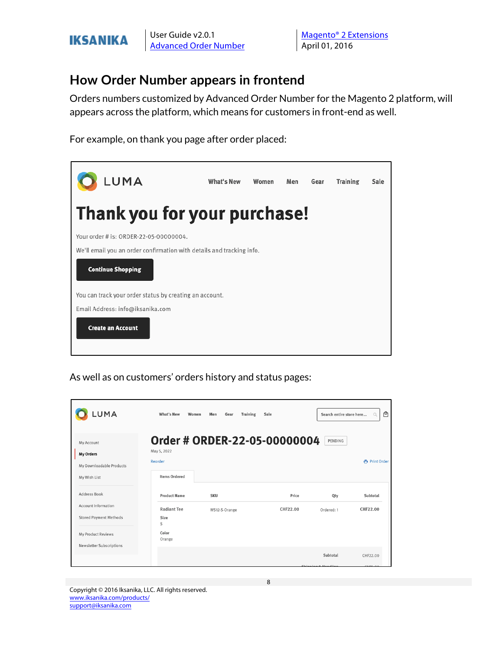

User Guide v2.0.1 Magento® 2 Extensions

#### **How Order Number appears in frontend**

Orders numbers customized by Advanced Order Number for the Magento 2 platform, will appears across the platform, which means for customers in front-end as well.

For example, on thank you page after order placed:



As well as on customers' orders history and status pages:

| LUMA                                                                                       | What's New<br>Women                                                       | Men<br>Gear                  | <b>Training</b><br>Sale |                                        | ₿<br>Search entire store here<br>$\alpha$ |
|--------------------------------------------------------------------------------------------|---------------------------------------------------------------------------|------------------------------|-------------------------|----------------------------------------|-------------------------------------------|
| My Account<br><b>My Orders</b><br>My Downloadable Products<br>My Wish List                 | May 5, 2022<br>Reorder<br><b>Items Ordered</b>                            | Order # ORDER-22-05-00000004 |                         | PENDING                                | 帚 Print Order                             |
| Address Book<br><b>Account Information</b><br>Stored Payment Methods<br>My Product Reviews | <b>Product Name</b><br><b>Radiant Tee</b><br>Size<br>S<br>Color<br>Orange | <b>SKU</b><br>WS12-S-Orange  |                         | Price<br>Qty<br>CHF22.00<br>Ordered: 1 | Subtotal<br>CHF22.00                      |
| Newsletter Subscriptions                                                                   |                                                                           |                              |                         | Subtotal<br>Chinning 0 Handlin         | CHF22.00<br>CUTE                          |

Copyright © 2016 Iksanika, LLC. All rights reserved. www.iksanika.com/products/ support@iksanika.com